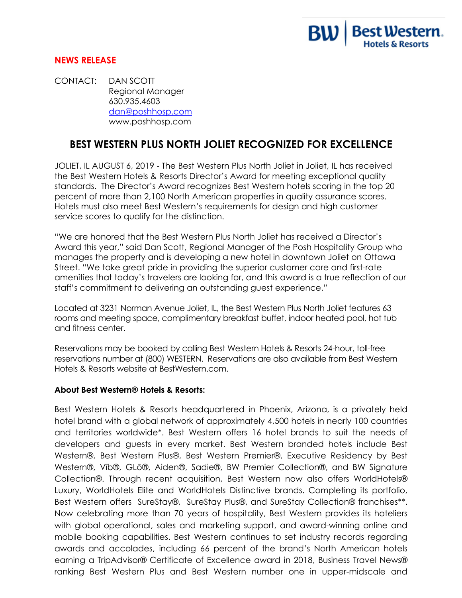

## **NEWS RELEASE**

CONTACT: DAN SCOTT Regional Manager 630.935.4603 dan@poshhosp.com www.poshhosp.com

## **BEST WESTERN PLUS NORTH JOLIET RECOGNIZED FOR EXCELLENCE**

JOLIET, IL AUGUST 6, 2019 - The Best Western Plus North Joliet in Joliet, IL has received the Best Western Hotels & Resorts Director's Award for meeting exceptional quality standards. The Director's Award recognizes Best Western hotels scoring in the top 20 percent of more than 2,100 North American properties in quality assurance scores. Hotels must also meet Best Western's requirements for design and high customer service scores to qualify for the distinction.

"We are honored that the Best Western Plus North Joliet has received a Director's Award this year," said Dan Scott, Regional Manager of the Posh Hospitality Group who manages the property and is developing a new hotel in downtown Joliet on Ottawa Street. "We take great pride in providing the superior customer care and first-rate amenities that today's travelers are looking for, and this award is a true reflection of our staff's commitment to delivering an outstanding guest experience."

Located at 3231 Norman Avenue Joliet, IL, the Best Western Plus North Joliet features 63 rooms and meeting space, complimentary breakfast buffet, indoor heated pool, hot tub and fitness center.

Reservations may be booked by calling Best Western Hotels & Resorts 24-hour, toll-free reservations number at (800) WESTERN. Reservations are also available from Best Western Hotels & Resorts website at BestWestern.com.

## **About Best Western® Hotels & Resorts:**

Best Western Hotels & Resorts headquartered in Phoenix, Arizona, is a privately held hotel brand with a global network of approximately 4,500 hotels in nearly 100 countries and territories worldwide\*. Best Western offers 16 hotel brands to suit the needs of developers and guests in every market. Best Western branded hotels include Best Western®, Best Western Plus®, Best Western Premier®, Executive Residency by Best Western®, Vīb®, GLō®, Aiden®, Sadie®, BW Premier Collection®, and BW Signature Collection®. Through recent acquisition, Best Western now also offers WorldHotels® Luxury, WorldHotels Elite and WorldHotels Distinctive brands. Completing its portfolio, Best Western offers SureStay®, SureStay Plus®, and SureStay Collection® franchises\*\*. Now celebrating more than 70 years of hospitality, Best Western provides its hoteliers with global operational, sales and marketing support, and award-winning online and mobile booking capabilities. Best Western continues to set industry records regarding awards and accolades, including 66 percent of the brand's North American hotels earning a TripAdvisor® Certificate of Excellence award in 2018, Business Travel News® ranking Best Western Plus and Best Western number one in upper-midscale and